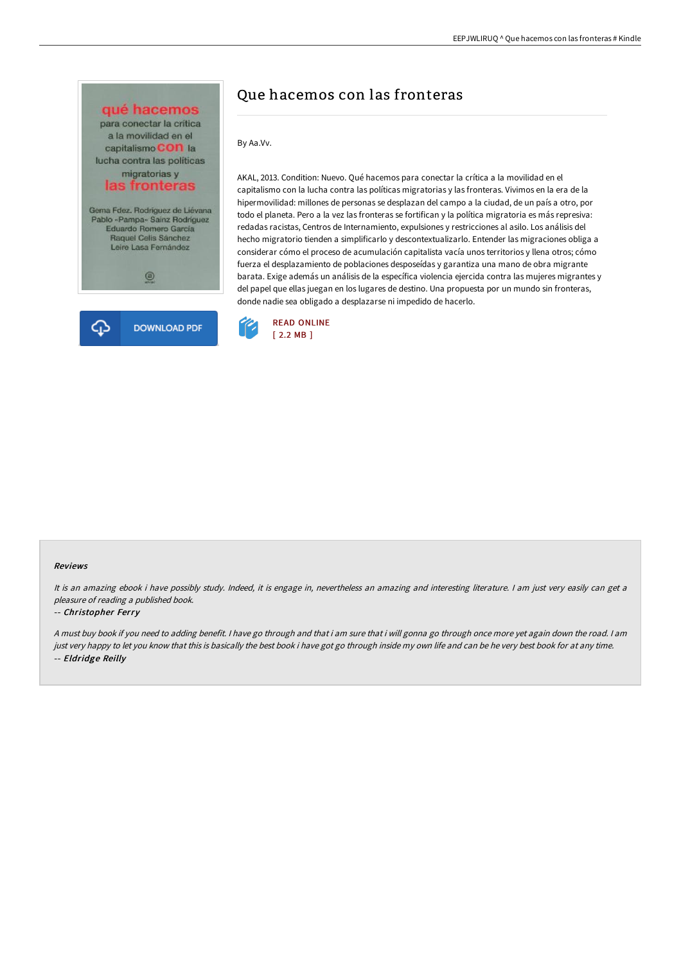

# Que hacemos con las fronteras

By Aa.Vv.

AKAL, 2013. Condition: Nuevo. Qué hacemos para conectar la crítica a la movilidad en el capitalismo con la lucha contra las políticas migratorias y las fronteras. Vivimos en la era de la hipermovilidad: millones de personas se desplazan del campo a la ciudad, de un país a otro, por todo el planeta. Pero a la vez las fronteras se fortifican y la política migratoria es más represiva: redadas racistas, Centros de Internamiento, expulsiones y restricciones al asilo. Los análisis del hecho migratorio tienden a simplificarlo y descontextualizarlo. Entender las migraciones obliga a considerar cómo el proceso de acumulación capitalista vacía unos territorios y llena otros; cómo fuerza el desplazamiento de poblaciones desposeídas y garantiza una mano de obra migrante barata. Exige además un análisis de la específica violencia ejercida contra las mujeres migrantes y del papel que ellas juegan en los lugares de destino. Una propuesta por un mundo sin fronteras, donde nadie sea obligado a desplazarse ni impedido de hacerlo.



#### Reviews

It is an amazing ebook i have possibly study. Indeed, it is engage in, nevertheless an amazing and interesting literature. I am just very easily can get a pleasure of reading <sup>a</sup> published book.

#### -- Christopher Ferry

<sup>A</sup> must buy book if you need to adding benefit. <sup>I</sup> have go through and that i am sure that i will gonna go through once more yet again down the road. <sup>I</sup> am just very happy to let you know that this is basically the best book i have got go through inside my own life and can be he very best book for at any time. -- Eldridge Reilly